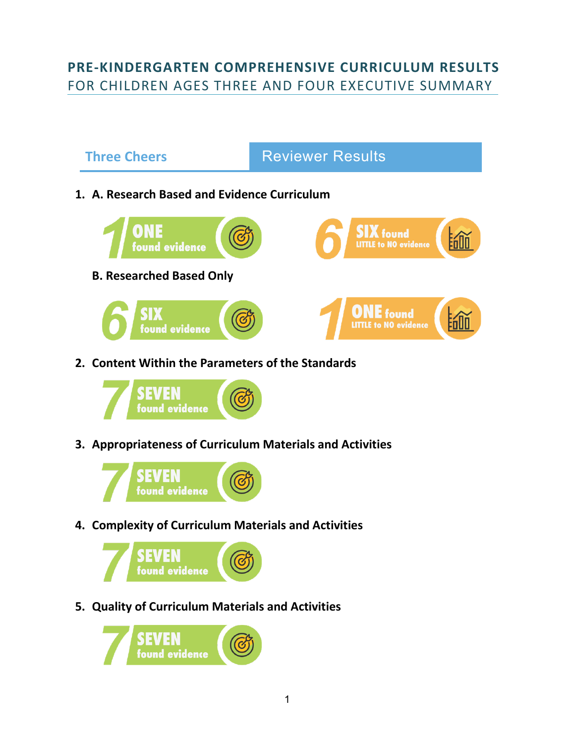### **PRE-KINDERGARTEN COMPREHENSIVE CURRICULUM RESULTS** FOR CHILDREN AGES THREE AND FOUR EXECUTIVE SUMMARY





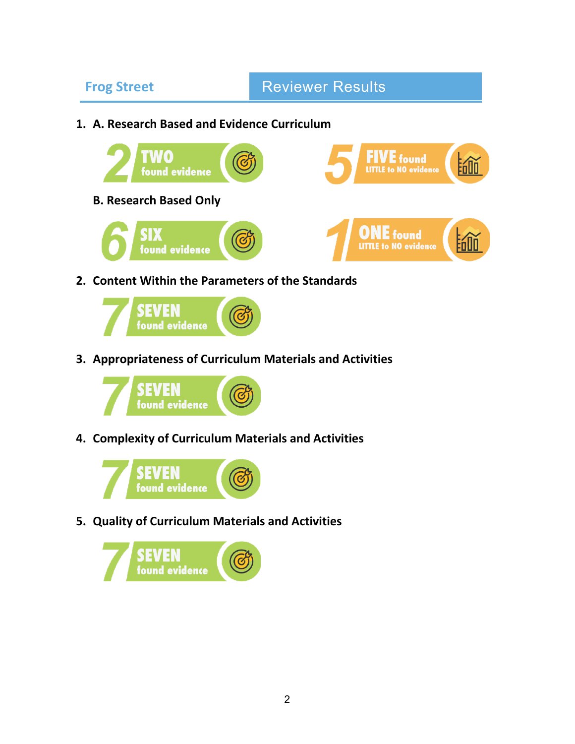## **Frog Street Reviewer Results**

**1. A. Research Based and Evidence Curriculum** 



**2. Content Within the Parameters of the Standards** 



**3. Appropriateness of Curriculum Materials and Activities** 



**4. Complexity of Curriculum Materials and Activities** 



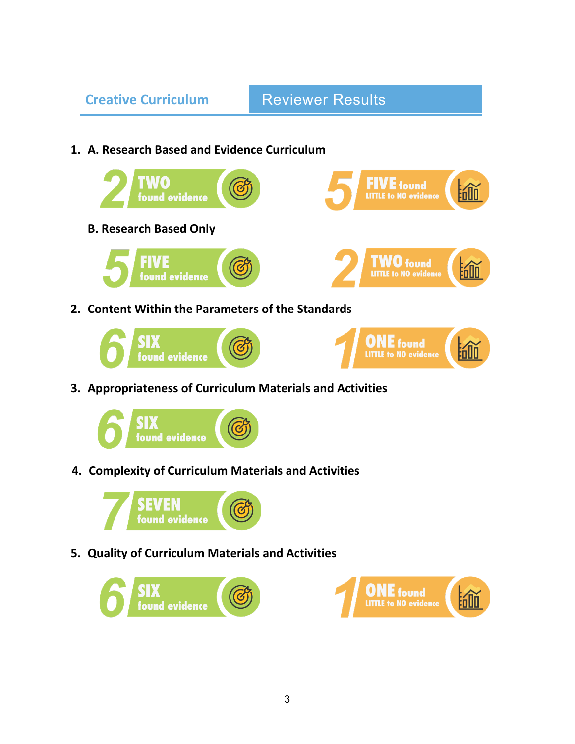# **Creative Curriculum Reviewer Results**

### **1. A. Research Based and Evidence Curriculum**



**B. Research Based Only** 





**FIVE** fou<mark>nd</mark><br>LITTLE to NO evidence

**2. Content Within the Parameters of the Standards** 





**3. Appropriateness of Curriculum Materials and Activities** 



**4. Complexity of Curriculum Materials and Activities**





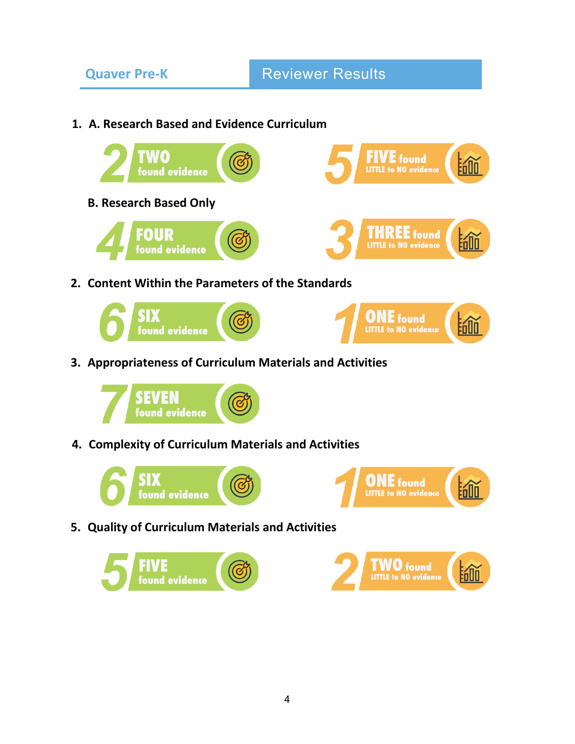**1. A. Research Based and Evidence Curriculum** 





**4. Complexity of Curriculum Materials and Activities**